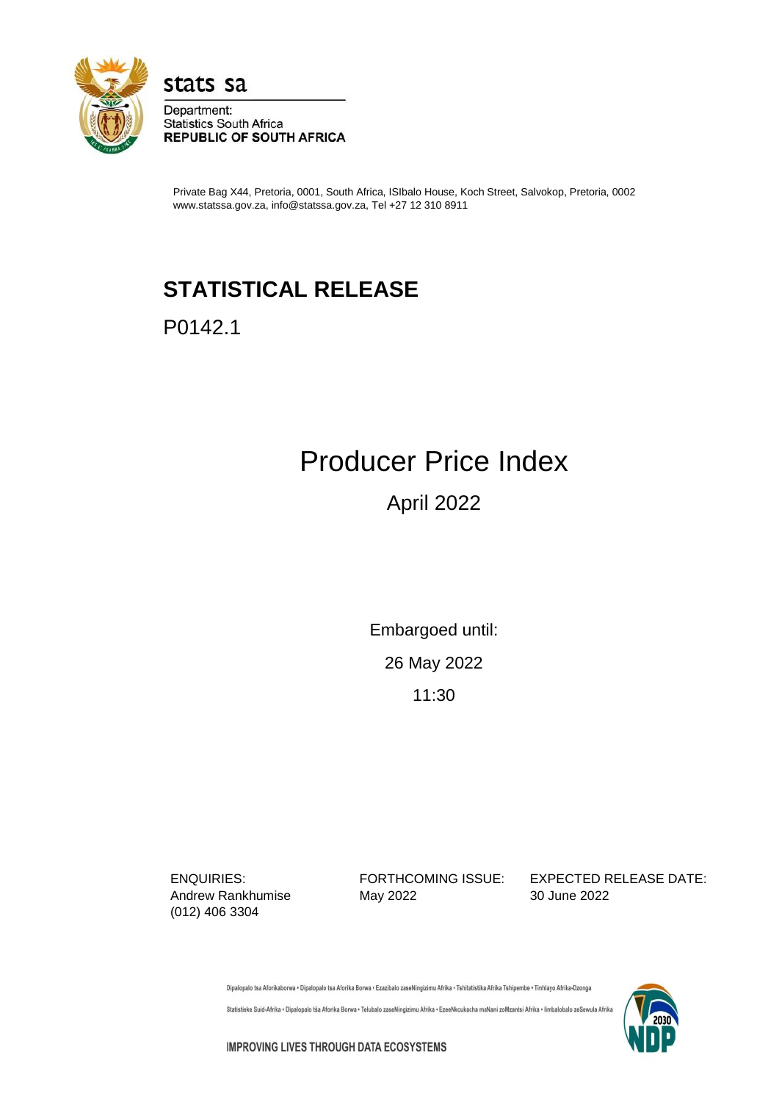

stats sa Department:

**Statistics South Africa REPUBLIC OF SOUTH AFRICA** 

Private Bag X44, Pretoria, 0001, South Africa, ISIbalo House, Koch Street, Salvokop, Pretoria, 0002 www.statssa.gov.za, info@statssa.gov.za, Tel +27 12 310 8911

## **STATISTICAL RELEASE**

P0142.1

# Producer Price Index

### April 2022

Embargoed until:

26 May 2022

11:30

(012) 406 3304

Andrew Rankhumise May 2022 30 June 2022

ENQUIRIES: FORTHCOMING ISSUE: EXPECTED RELEASE DATE:

Dipalopalo tsa Aforikaborwa • Dipalopalo tsa Aforika Borwa • Ezazibalo zaseNingizimu Afrika • Tshitatistika Afrika Tshipembe • Tinhlayo Afrika-Dzonga

Statistieke Suid-Afrika • Dipalopalo tša Aforika Borwa • Telubalo zaseNingizimu Afrika • EzeeNkcukacha maNani zoMzantsi Afrika • limbalobalo zeSewula Afrika



**IMPROVING LIVES THROUGH DATA ECOSYSTEMS**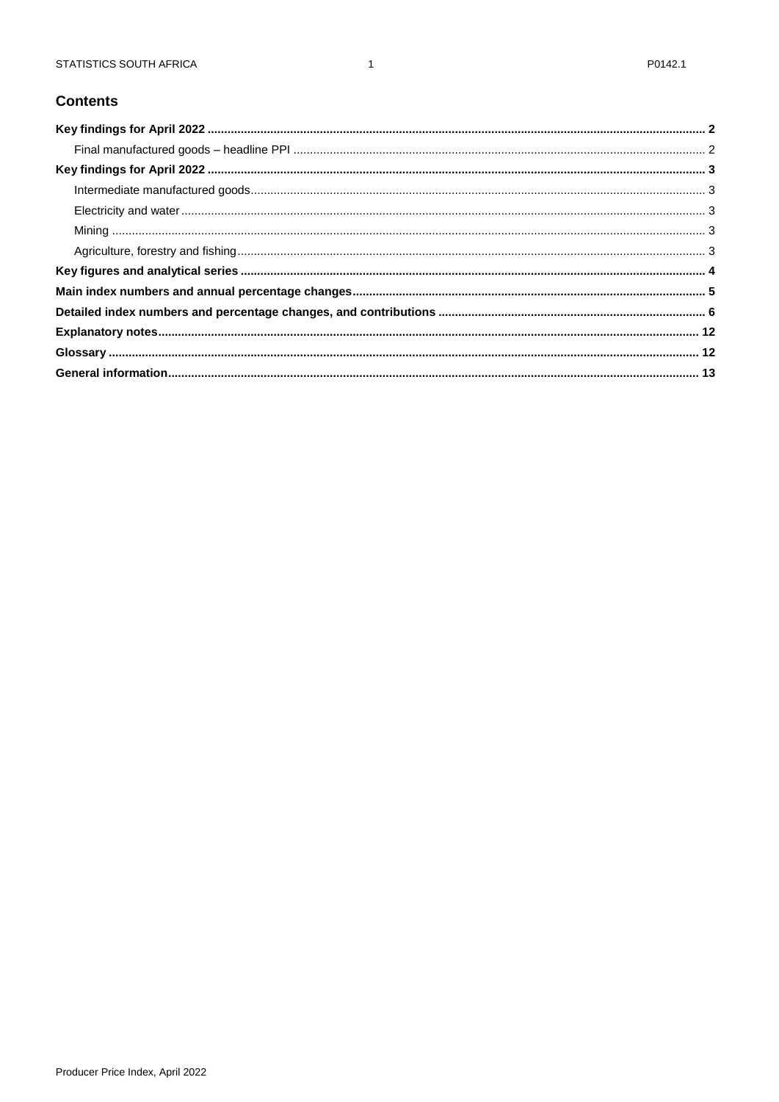#### **Contents**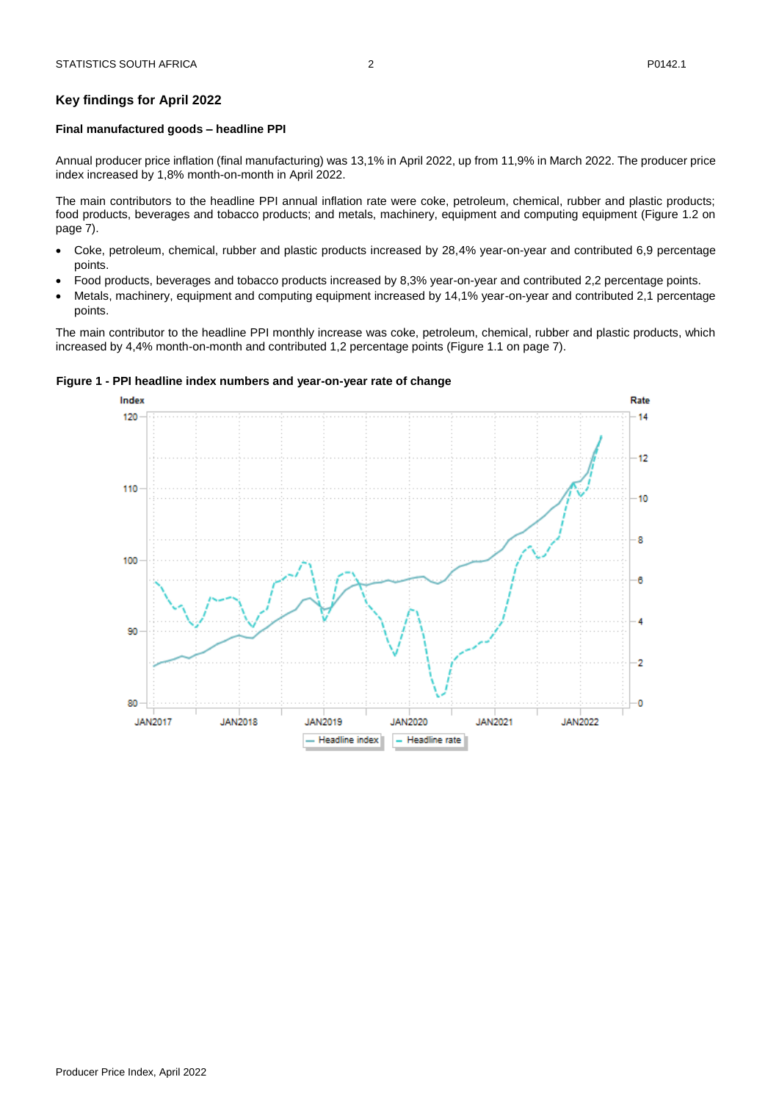#### <span id="page-2-0"></span>**Key findings for April 2022**

#### <span id="page-2-1"></span>**Final manufactured goods – headline PPI**

Annual producer price inflation (final manufacturing) was 13,1% in April 2022, up from 11,9% in March 2022. The producer price index increased by 1,8% month-on-month in April 2022.

The main contributors to the headline PPI annual inflation rate were coke, petroleum, chemical, rubber and plastic products; food products, beverages and tobacco products; and metals, machinery, equipment and computing equipment (Figure 1.2 on page 7).

- Coke, petroleum, chemical, rubber and plastic products increased by 28,4% year-on-year and contributed 6,9 percentage points.
- Food products, beverages and tobacco products increased by 8,3% year-on-year and contributed 2,2 percentage points.
- Metals, machinery, equipment and computing equipment increased by 14,1% year-on-year and contributed 2,1 percentage points.

The main contributor to the headline PPI monthly increase was coke, petroleum, chemical, rubber and plastic products, which increased by 4,4% month-on-month and contributed 1,2 percentage points (Figure 1.1 on page 7).

#### **Figure 1 - PPI headline index numbers and year-on-year rate of change**

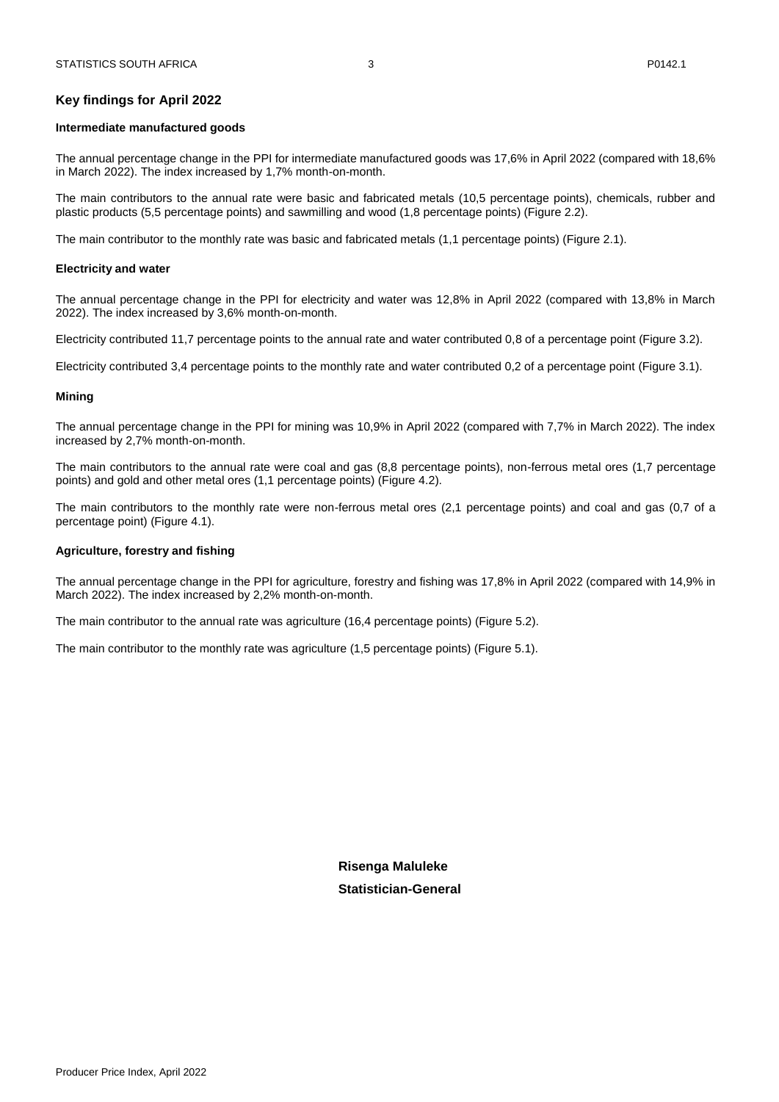#### <span id="page-3-1"></span><span id="page-3-0"></span>**Intermediate manufactured goods**

The annual percentage change in the PPI for intermediate manufactured goods was 17,6% in April 2022 (compared with 18,6% in March 2022). The index increased by 1,7% month-on-month.

The main contributors to the annual rate were basic and fabricated metals (10,5 percentage points), chemicals, rubber and plastic products (5,5 percentage points) and sawmilling and wood (1,8 percentage points) (Figure 2.2).

The main contributor to the monthly rate was basic and fabricated metals (1,1 percentage points) (Figure 2.1).

#### <span id="page-3-2"></span>**Electricity and water**

The annual percentage change in the PPI for electricity and water was 12,8% in April 2022 (compared with 13,8% in March 2022). The index increased by 3,6% month-on-month.

Electricity contributed 11,7 percentage points to the annual rate and water contributed 0,8 of a percentage point (Figure 3.2).

Electricity contributed 3,4 percentage points to the monthly rate and water contributed 0,2 of a percentage point (Figure 3.1).

#### <span id="page-3-3"></span>**Mining**

The annual percentage change in the PPI for mining was 10,9% in April 2022 (compared with 7,7% in March 2022). The index increased by 2,7% month-on-month.

The main contributors to the annual rate were coal and gas (8,8 percentage points), non-ferrous metal ores (1,7 percentage points) and gold and other metal ores (1,1 percentage points) (Figure 4.2).

The main contributors to the monthly rate were non-ferrous metal ores (2,1 percentage points) and coal and gas (0,7 of a percentage point) (Figure 4.1).

#### <span id="page-3-4"></span>**Agriculture, forestry and fishing**

The annual percentage change in the PPI for agriculture, forestry and fishing was 17,8% in April 2022 (compared with 14,9% in March 2022). The index increased by 2,2% month-on-month.

The main contributor to the annual rate was agriculture (16,4 percentage points) (Figure 5.2).

The main contributor to the monthly rate was agriculture (1,5 percentage points) (Figure 5.1).

**Risenga Maluleke Statistician-General**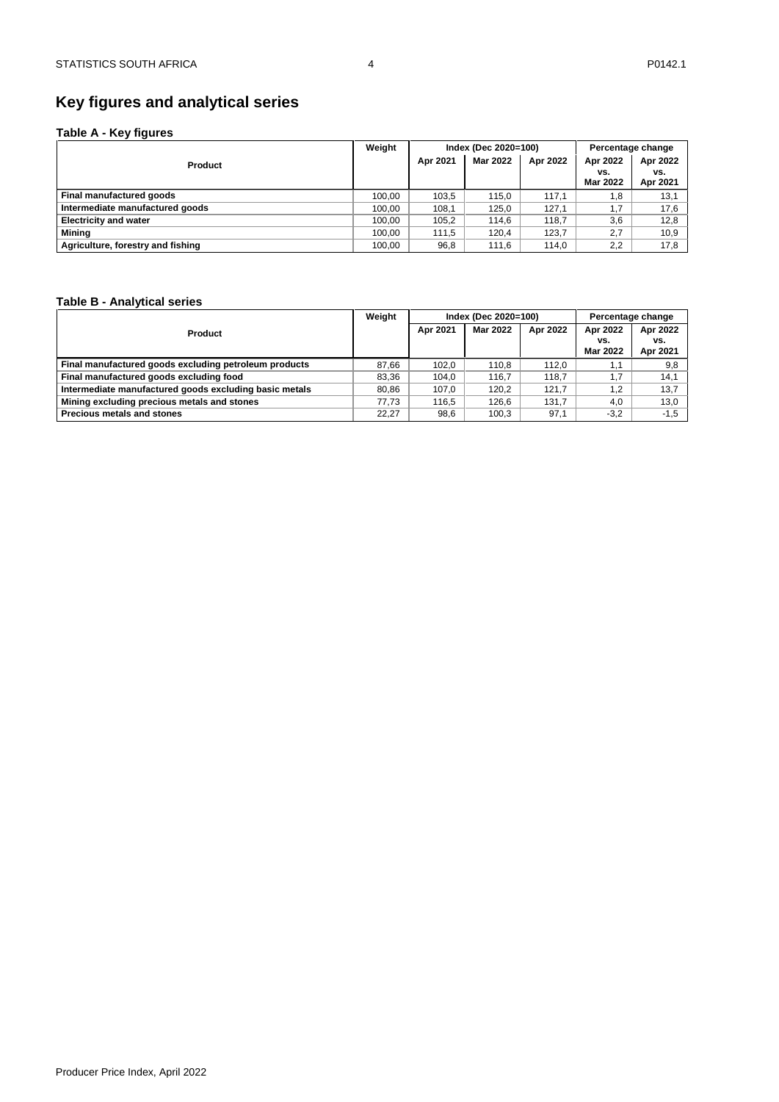### <span id="page-4-0"></span>**Key figures and analytical series**

#### **Table A - Key figures**

|                                   | Weight |          | Index (Dec 2020=100) | Percentage change |                             |                             |
|-----------------------------------|--------|----------|----------------------|-------------------|-----------------------------|-----------------------------|
| <b>Product</b>                    |        | Apr 2021 | Mar 2022             | Apr 2022          | Apr 2022<br>vs.<br>Mar 2022 | Apr 2022<br>vs.<br>Apr 2021 |
| Final manufactured goods          | 100,00 | 103.5    | 115.0                | 117.1             | 1,8                         | 13,1                        |
| Intermediate manufactured goods   | 100,00 | 108.1    | 125.0                | 127.1             | 1,7                         | 17,6                        |
| <b>Electricity and water</b>      | 100,00 | 105.2    | 114.6                | 118.7             | 3,6                         | 12,8                        |
| Mining                            | 100,00 | 111.5    | 120.4                | 123.7             | 2,7                         | 10,9                        |
| Agriculture, forestry and fishing | 100,00 | 96,8     | 111.6                | 114.0             | 2,2                         | 17,8                        |

#### **Table B - Analytical series**

|                                                        | Weight |          | Index (Dec 2020=100) |          | Percentage change           |                             |  |
|--------------------------------------------------------|--------|----------|----------------------|----------|-----------------------------|-----------------------------|--|
| <b>Product</b>                                         |        | Apr 2021 | Mar 2022             | Apr 2022 | Apr 2022<br>vs.<br>Mar 2022 | Apr 2022<br>vs.<br>Apr 2021 |  |
| Final manufactured goods excluding petroleum products  | 87.66  | 102.0    | 110.8                | 112.0    | 1.1                         | 9,8                         |  |
| Final manufactured goods excluding food                | 83.36  | 104.0    | 116.7                | 118.7    | 1.7                         | 14.1                        |  |
| Intermediate manufactured goods excluding basic metals | 80.86  | 107.0    | 120.2                | 121.7    | 1.2                         | 13.7                        |  |
| Mining excluding precious metals and stones            | 77.73  | 116.5    | 126.6                | 131.7    | 4.0                         | 13,0                        |  |
| <b>Precious metals and stones</b>                      | 22.27  | 98,6     | 100.3                | 97,1     | $-3,2$                      | $-1.5$                      |  |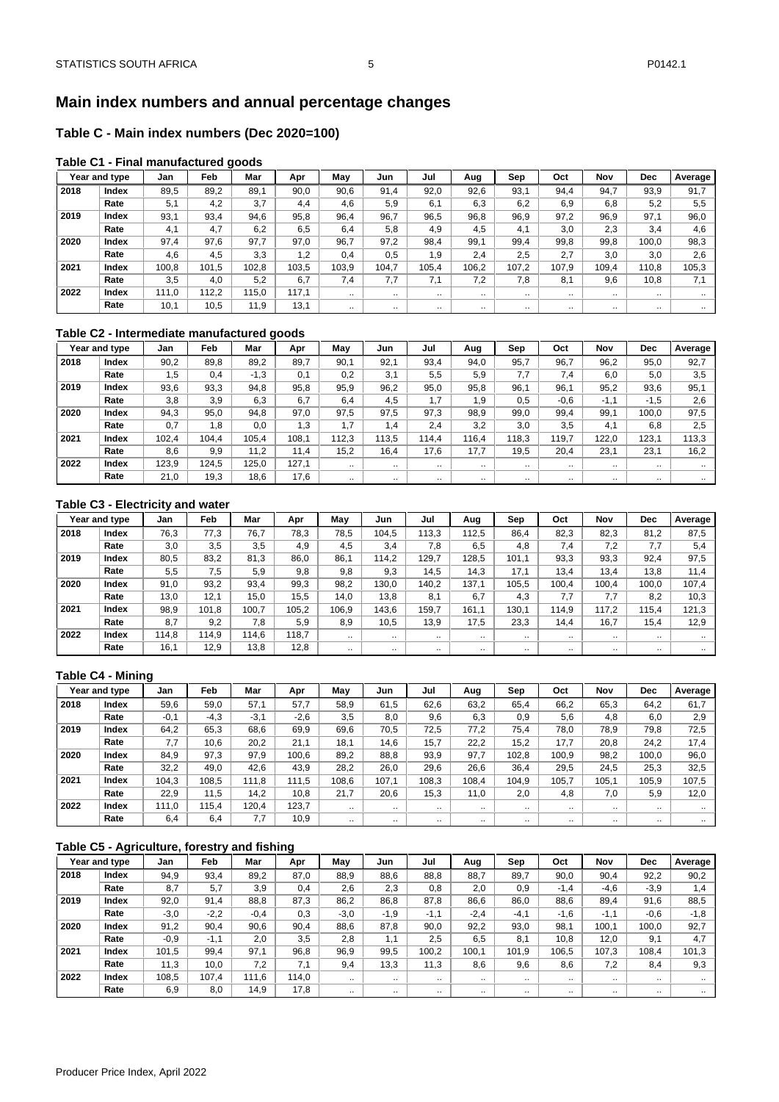#### <span id="page-5-0"></span>**Table C - Main index numbers (Dec 2020=100)**

#### **Table C1 - Final manufactured goods**

|      | Year and type | Jan   | Feb   | Mar   | Apr   | Mav       | Jun       | Jul       | Aug       | Sep       | Oct       | Nov       | Dec       | Average   |
|------|---------------|-------|-------|-------|-------|-----------|-----------|-----------|-----------|-----------|-----------|-----------|-----------|-----------|
| 2018 | Index         | 89.5  | 89.2  | 89.1  | 90.0  | 90.6      | 91.4      | 92.0      | 92.6      | 93.1      | 94.4      | 94.7      | 93,9      | 91.7      |
|      | Rate          | 5,1   | 4,2   | 3,7   | 4,4   | 4.6       | 5,9       | 6.1       | 6,3       | 6.2       | 6.9       | 6.8       | 5,2       | 5.5       |
| 2019 | Index         | 93,1  | 93,4  | 94.6  | 95.8  | 96.4      | 96.7      | 96,5      | 96,8      | 96,9      | 97,2      | 96,9      | 97,1      | 96,0      |
|      | Rate          | 4.1   | 4.7   | 6,2   | 6.5   | 6.4       | 5,8       | 4,9       | 4.5       | 4.1       | 3,0       | 2.3       | 3,4       | 4.6       |
| 2020 | Index         | 97.4  | 97.6  | 97.7  | 97.0  | 96.7      | 97.2      | 98,4      | 99.1      | 99.4      | 99,8      | 99.8      | 100.0     | 98,3      |
|      | Rate          | 4,6   | 4,5   | 3.3   | 1,2   | 0.4       | 0,5       | 1,9       | 2.4       | 2.5       | 2.7       | 3.0       | 3,0       | 2.6       |
| 2021 | Index         | 100,8 | 101.5 | 102.8 | 103.5 | 103.9     | 104.7     | 105,4     | 106,2     | 107.2     | 107.9     | 109.4     | 110.8     | 105,3     |
|      | Rate          | 3.5   | 4.0   | 5.2   | 6,7   | 7.4       | 7,7       | 7.1       | 7,2       | 7.8       | 8,1       | 9,6       | 10,8      | 7.1       |
| 2022 | Index         | 111.0 | 112.2 | 115.0 | 117.1 | $\cdot$ . | $\cdot$ . | $\cdots$  | $\cdot$ . | $\cdot$ . | $\cdot$ . | $\cdot$ . | $\cdot$ . | $\ddotsc$ |
|      | Rate          | 10,1  | 10,5  | 11,9  | 13,1  |           | $\cdot$ . | $\cdot$ . | $\cdot$ . | $\cdot$ . | $\cdot$ . | $\cdot$ . | $\cdot$ . | $\cdot$ . |

#### **Table C2 - Intermediate manufactured goods**

|      | Year and type | Jan   | <b>Feb</b> | Mar    | Apr   | May       | Jun       | Jul       | Aug       | Sep       | Oct       | Nov       | Dec       | Average   |
|------|---------------|-------|------------|--------|-------|-----------|-----------|-----------|-----------|-----------|-----------|-----------|-----------|-----------|
| 2018 | Index         | 90,2  | 89.8       | 89.2   | 89.7  | 90,1      | 92.1      | 93,4      | 94,0      | 95.7      | 96.7      | 96.2      | 95,0      | 92,7      |
|      | Rate          | 1.5   | 0,4        | $-1,3$ | 0.1   | 0.2       | 3.1       | 5.5       | 5.9       | 7.7       | 7.4       | 6.0       | 5.0       | 3.5       |
| 2019 | Index         | 93,6  | 93,3       | 94.8   | 95.8  | 95,9      | 96,2      | 95,0      | 95,8      | 96,1      | 96,1      | 95.2      | 93,6      | 95,1      |
|      | Rate          | 3.8   | 3,9        | 6.3    | 6.7   | 6.4       | 4.5       | 1.7       | 1.9       | 0.5       | $-0.6$    | $-1.1$    | $-1,5$    | 2.6       |
| 2020 | Index         | 94,3  | 95,0       | 94,8   | 97,0  | 97.5      | 97,5      | 97,3      | 98,9      | 99,0      | 99,4      | 99,1      | 100,0     | 97,5      |
|      | Rate          | 0,7   | 1,8        | 0.0    | 1,3   | 1.7       | 1,4       | 2.4       | 3,2       | 3.0       | 3,5       | 4.1       | 6,8       | 2.5       |
| 2021 | Index         | 102.4 | 104.4      | 105,4  | 108.1 | 112.3     | 113.5     | 14.4      | 116.4     | 118.3     | 119.7     | 122.0     | 123,1     | 113.3     |
|      | Rate          | 8.6   | 9.9        | 11.2   | 11.4  | 15,2      | 16,4      | 17.6      | 17,7      | 19.5      | 20,4      | 23,1      | 23,1      | 16,2      |
| 2022 | Index         | 123,9 | 124.5      | 125,0  | 127,1 | $\cdot$   | $\cdot$ . | $\cdot$ . | $\cdot$ . | $\cdot$ . | $\cdot$ . | $\cdot$ . | $\cdot$ . | $\cdot$ . |
|      | Rate          | 21.0  | 19,3       | 18.6   | 17.6  | $\cdot$ . |           | $\cdots$  |           |           |           | $\cdot$ . | $\cdots$  |           |

#### **Table C3 - Electricity and water**

|      | Year and type | Jan   | Feb   | Mar   | Apr   | May      | Jun       | Jul       | Aug       | Sep       | Oct   | Nov       | <b>Dec</b> | Average   |
|------|---------------|-------|-------|-------|-------|----------|-----------|-----------|-----------|-----------|-------|-----------|------------|-----------|
| 2018 | Index         | 76,3  | 77,3  | 76,7  | 78,3  | 78.5     | 104,5     | 13,3      | 12.5      | 86,4      | 82,3  | 82,3      | 81,2       | 87,5      |
|      | Rate          | 3.0   | 3.5   | 3.5   | 4.9   | 4.5      | 3.4       | 7.8       | 6,5       | 4,8       | 7.4   | 7.2       | 7.7        | 5.4       |
| 2019 | Index         | 80,5  | 83.2  | 81,3  | 86,0  | 86,1     | 114.2     | 129.7     | 128.5     | 101.1     | 93,3  | 93,3      | 92,4       | 97.5      |
|      | Rate          | 5.5   | 7.5   | 5.9   | 9.8   | 9.8      | 9.3       | 14.5      | 14.3      | 17.1      | 13.4  | 13.4      | 13.8       | 11.4      |
| 2020 | Index         | 91.0  | 93.2  | 93.4  | 99,3  | 98.2     | 130.0     | 140.2     | 137.1     | 105.5     | 100.4 | 100.4     | 100.0      | 107.4     |
|      | Rate          | 13,0  | 12.1  | 15,0  | 15,5  | 14,0     | 13,8      | 8.1       | 6.7       | 4,3       | 7.7   | 7.7       | 8,2        | 10,3      |
| 2021 | Index         | 98,9  | 101,8 | 100.7 | 105,2 | 106.9    | 143.6     | 159.7     | 161.1     | 130,1     | 114,9 | 117.2     | 115.4      | 121,3     |
|      | Rate          | 8.7   | 9.2   | 7.8   | 5.9   | 8,9      | 10,5      | 13,9      | 17,5      | 23,3      | 14,4  | 16.7      | 15,4       | 12.9      |
| 2022 | Index         | 114.8 | 14.9  | 114,6 | 118.7 | $\cdots$ | $\cdot$ . | $\cdot$ . | $\cdot$ . | $\cdot$ . |       | $\cdot$ . | $\cdot$ .  |           |
|      | Rate          | 16,1  | 12,9  | 13,8  | 12,8  |          |           | $\ddotsc$ | $\cdot$ . |           |       | $\cdot$ . | $\cdot$ .  | $\ddotsc$ |

#### **Table C4 - Mining**

|      | Year and type | Jan    | Feb    | Mar    | Apr    | May       | Jun      | Jul       | Aug       | Sep   | Oct       | Nov       | Dec   | Average   |
|------|---------------|--------|--------|--------|--------|-----------|----------|-----------|-----------|-------|-----------|-----------|-------|-----------|
| 2018 | Index         | 59,6   | 59.0   | 57.1   | 57.7   | 58,9      | 61,5     | 62,6      | 63,2      | 65,4  | 66,2      | 65,3      | 64,2  | 61.7      |
|      | Rate          | $-0,1$ | $-4.3$ | $-3.1$ | $-2.6$ | 3.5       | 8,0      | 9.6       | 6,3       | 0.9   | 5.6       | 4.8       | 6,0   | 2.9       |
| 2019 | Index         | 64.2   | 65.3   | 68.6   | 69.9   | 69,6      | 70,5     | 72.5      | 77.2      | 75.4  | 78,0      | 78.9      | 79,8  | 72,5      |
|      | Rate          | 7.7    | 10.6   | 20,2   | 21,1   | 18,1      | 14,6     | 15,7      | 22,2      | 15.2  | 17,7      | 20,8      | 24,2  | 17.4      |
| 2020 | Index         | 84.9   | 97.3   | 97.9   | 100.6  | 89.2      | 88.8     | 93.9      | 97.7      | 102.8 | 100.9     | 98.2      | 100.0 | 96,0      |
|      | Rate          | 32,2   | 49.0   | 42.6   | 43.9   | 28,2      | 26,0     | 29,6      | 26,6      | 36.4  | 29,5      | 24.5      | 25,3  | 32,5      |
| 2021 | Index         | 104.3  | 108.5  | 111.8  | 111,5  | 108,6     | 107,1    | 108,3     | 108,4     | 104.9 | 105,7     | 105,1     | 105,9 | 107.5     |
|      | Rate          | 22,9   | 11.5   | 14.2   | 10.8   | 21.7      | 20,6     | 15,3      | 11,0      | 2.0   | 4,8       | 7.0       | 5,9   | 12,0      |
| 2022 | Index         | 111.0  | 115.4  | 120.4  | 123,7  | $\cdot$ . | $\cdots$ | $\cdot$ . | $\ddotsc$ |       | $\cdot$ . | $\cdot$ . |       | $\ddotsc$ |
|      | Rate          | 6,4    | 6,4    | 7,7    | 10,9   | $\ddotsc$ | $\cdots$ | $\cdot$ . |           |       |           | $\cdot$ . |       |           |

#### **Table C5 - Agriculture, forestry and fishing**

|      | Year and type | Jan    | Feb    | Mar    | ∼<br>Apr | May       | Jun       | Jul       | Aug       | Sep       | Oct    | Nov       | <b>Dec</b> | Average   |
|------|---------------|--------|--------|--------|----------|-----------|-----------|-----------|-----------|-----------|--------|-----------|------------|-----------|
| 2018 | Index         | 94,9   | 93,4   | 89,2   | 87,0     | 88,9      | 88,6      | 88,8      | 88,7      | 89,7      | 90,0   | 90,4      | 92,2       | 90,2      |
|      | Rate          | 8,7    | 5,7    | 3,9    | 0.4      | 2,6       | 2,3       | 0.8       | 2,0       | 0.9       | $-1,4$ | $-4.6$    | $-3,9$     | 1.4       |
| 2019 | Index         | 92,0   | 91,4   | 88,8   | 87,3     | 86,2      | 86,8      | 87,8      | 86,6      | 86,0      | 88,6   | 89,4      | 91,6       | 88,5      |
|      | Rate          | $-3,0$ | $-2,2$ | $-0.4$ | 0.3      | $-3.0$    | $-1,9$    | $-1,1$    | $-2,4$    | $-4.1$    | $-1,6$ | $-1.1$    | $-0,6$     | $-1,8$    |
| 2020 | Index         | 91,2   | 90,4   | 90,6   | 90,4     | 88,6      | 87,8      | 90,0      | 92,2      | 93,0      | 98,1   | 100.1     | 100,0      | 92,7      |
|      | Rate          | $-0,9$ | $-1,1$ | 2.0    | 3,5      | 2.8       | 1.1       | 2.5       | 6,5       | 8.1       | 10,8   | 12.0      | 9,1        | 4.7       |
| 2021 | Index         | 101,5  | 99,4   | 97,1   | 96,8     | 96,9      | 99,5      | 100,2     | 100,1     | 101.9     | 106,5  | 107.3     | 108.4      | 101,3     |
|      | Rate          | 11.3   | 10.0   | 7.2    | 7.1      | 9,4       | 13,3      | 11.3      | 8,6       | 9,6       | 8,6    | 7.2       | 8,4        | 9,3       |
| 2022 | Index         | 108,5  | 107.4  | 111.6  | 114,0    | $\sim$    | $\cdot$ . | $\cdots$  | $\cdot$ . | $\cdot$ . |        | $\cdot$ . | $\cdot$ .  | $\ddotsc$ |
|      | Rate          | 6,9    | 8,0    | 14,9   | 17,8     | $\cdot$ . | $\cdot$ . | $\cdot$ . |           | $\cdot$ . |        |           |            | $\ddotsc$ |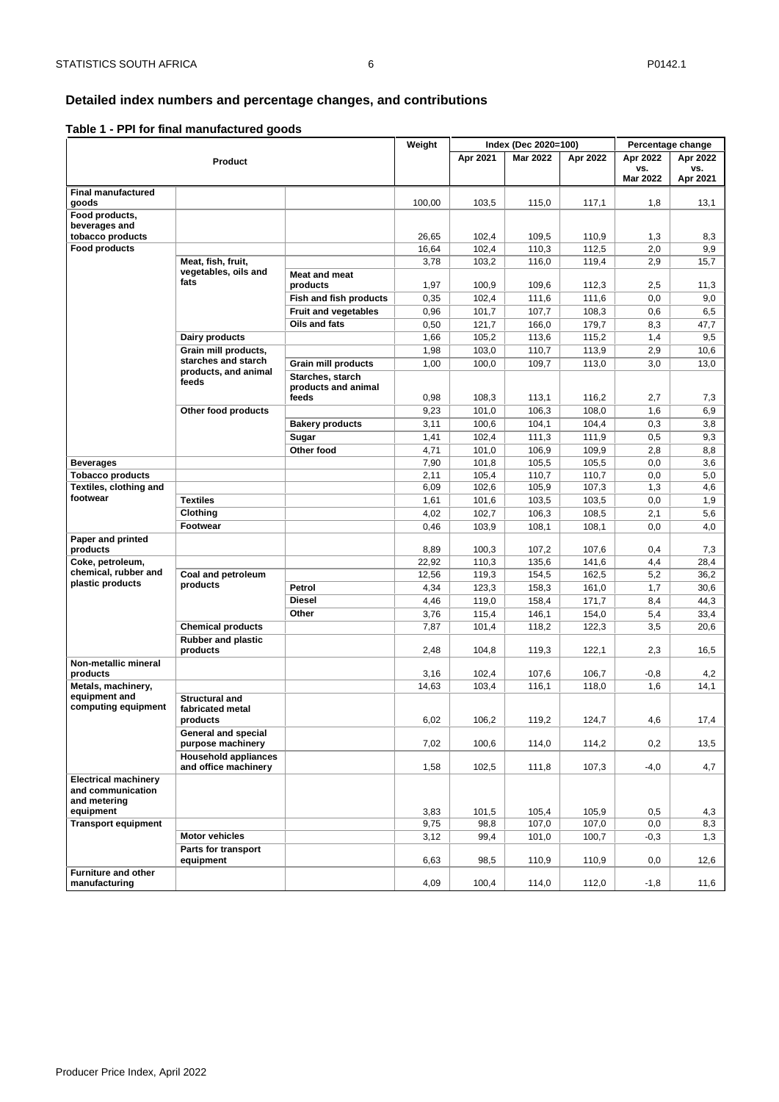#### <span id="page-6-0"></span>**Detailed index numbers and percentage changes, and contributions**

#### **Table 1 - PPI for final manufactured goods**

|                                                                               |                                                     |                             | Weight |          | Index (Dec 2020=100) |          | Percentage change |          |
|-------------------------------------------------------------------------------|-----------------------------------------------------|-----------------------------|--------|----------|----------------------|----------|-------------------|----------|
|                                                                               | Product                                             |                             |        | Apr 2021 | <b>Mar 2022</b>      | Apr 2022 | Apr 2022          | Apr 2022 |
|                                                                               |                                                     |                             |        |          |                      |          | VS.               | VS.      |
|                                                                               |                                                     |                             |        |          |                      |          | <b>Mar 2022</b>   | Apr 2021 |
| <b>Final manufactured</b>                                                     |                                                     |                             |        |          |                      |          |                   |          |
| goods                                                                         |                                                     |                             | 100,00 | 103,5    | 115,0                | 117,1    | 1,8               | 13,1     |
| Food products,                                                                |                                                     |                             |        |          |                      |          |                   |          |
| beverages and<br>tobacco products                                             |                                                     |                             | 26,65  | 102,4    | 109,5                | 110,9    | 1,3               | 8,3      |
| Food products                                                                 |                                                     |                             | 16,64  | 102,4    | 110,3                | 112,5    | 2,0               | 9,9      |
|                                                                               | Meat, fish, fruit,                                  |                             | 3,78   | 103,2    | 116,0                | 119,4    | 2,9               | 15,7     |
|                                                                               | vegetables, oils and                                | <b>Meat and meat</b>        |        |          |                      |          |                   |          |
|                                                                               | fats                                                | products                    | 1,97   | 100,9    | 109,6                | 112,3    | 2,5               | 11,3     |
|                                                                               |                                                     | Fish and fish products      | 0,35   | 102,4    | 111,6                | 111,6    | 0,0               | 9,0      |
|                                                                               |                                                     | <b>Fruit and vegetables</b> | 0,96   | 101,7    | 107,7                | 108,3    | 0,6               | 6,5      |
|                                                                               |                                                     | Oils and fats               | 0,50   | 121,7    | 166,0                | 179,7    | 8,3               | 47,7     |
|                                                                               | Dairy products                                      |                             | 1,66   | 105,2    | 113,6                | 115,2    | 1,4               | 9,5      |
|                                                                               | Grain mill products,                                |                             | 1,98   | 103,0    | 110,7                | 113,9    | 2,9               | 10,6     |
|                                                                               | starches and starch                                 | <b>Grain mill products</b>  | 1,00   | 100,0    | 109,7                | 113,0    | 3,0               | 13,0     |
|                                                                               | products, and animal                                | Starches, starch            |        |          |                      |          |                   |          |
|                                                                               | feeds                                               | products and animal         |        |          |                      |          |                   |          |
|                                                                               |                                                     | feeds                       | 0,98   | 108,3    | 113,1                | 116,2    | 2,7               | 7,3      |
|                                                                               | Other food products                                 |                             | 9,23   | 101,0    | 106,3                | 108,0    | 1,6               | 6,9      |
|                                                                               |                                                     | <b>Bakery products</b>      | 3,11   | 100,6    | 104,1                | 104,4    | 0,3               | 3,8      |
|                                                                               |                                                     | Sugar                       | 1,41   | 102,4    | 111,3                | 111,9    | 0,5               | 9,3      |
|                                                                               |                                                     | Other food                  | 4,71   | 101,0    | 106,9                | 109,9    | 2,8               | 8,8      |
| <b>Beverages</b>                                                              |                                                     |                             | 7,90   | 101,8    | 105,5                | 105,5    | 0,0               | 3,6      |
| <b>Tobacco products</b>                                                       |                                                     |                             | 2,11   | 105,4    | 110,7                | 110,7    | 0,0               | 5,0      |
| Textiles, clothing and                                                        |                                                     |                             | 6,09   | 102,6    | 105,9                | 107,3    | 1,3               | 4,6      |
| footwear                                                                      | <b>Textiles</b>                                     |                             | 1,61   | 101,6    | 103,5                | 103,5    | 0,0               | 1,9      |
|                                                                               | Clothing                                            |                             | 4,02   | 102,7    | 106,3                | 108,5    | 2,1               | 5,6      |
|                                                                               | Footwear                                            |                             | 0,46   | 103,9    | 108,1                | 108,1    | 0,0               | 4,0      |
| Paper and printed                                                             |                                                     |                             |        |          |                      |          |                   |          |
| products                                                                      |                                                     |                             | 8,89   | 100,3    | 107,2                | 107,6    | 0,4               | 7,3      |
| Coke, petroleum,                                                              |                                                     |                             | 22,92  | 110,3    | 135,6                | 141,6    | 4,4               | 28,4     |
| chemical, rubber and<br>plastic products                                      | Coal and petroleum                                  |                             | 12,56  | 119,3    | 154,5                | 162,5    | 5,2               | 36,2     |
|                                                                               | products                                            | Petrol                      | 4,34   | 123,3    | 158,3                | 161,0    | 1,7               | 30,6     |
|                                                                               |                                                     | <b>Diesel</b>               | 4,46   | 119,0    | 158,4                | 171,7    | 8,4               | 44,3     |
|                                                                               |                                                     | Other                       | 3,76   | 115,4    | 146,1                | 154,0    | 5,4               | 33,4     |
|                                                                               | <b>Chemical products</b>                            |                             | 7,87   | 101,4    | 118,2                | 122,3    | 3,5               | 20,6     |
|                                                                               | <b>Rubber and plastic</b><br>products               |                             | 2,48   | 104,8    | 119,3                | 122,1    | 2,3               | 16,5     |
| Non-metallic mineral                                                          |                                                     |                             |        |          |                      |          |                   |          |
| products                                                                      |                                                     |                             | 3,16   | 102,4    | 107,6                | 106,7    | $-0,8$            | 4,2      |
| Metals, machinery,<br>equipment and                                           | <b>Structural and</b>                               |                             | 14,63  | 103,4    | 116,1                | 118,0    | 1,6               | 14,1     |
| computing equipment                                                           | fabricated metal                                    |                             |        |          |                      |          |                   |          |
|                                                                               | products                                            |                             | 6,02   | 106,2    | 119,2                | 124,7    | 4,6               | 17,4     |
|                                                                               | <b>General and special</b><br>purpose machinery     |                             | 7,02   | 100,6    | 114,0                | 114,2    | 0,2               | 13,5     |
|                                                                               | <b>Household appliances</b><br>and office machinery |                             | 1,58   | 102,5    | 111,8                | 107,3    | $-4,0$            | 4,7      |
| <b>Electrical machinery</b><br>and communication<br>and metering<br>equipment |                                                     |                             | 3,83   | 101,5    | 105,4                | 105,9    | 0,5               | 4,3      |
| <b>Transport equipment</b>                                                    |                                                     |                             | 9,75   | 98,8     | 107,0                | 107,0    | 0,0               | 8,3      |
|                                                                               | <b>Motor vehicles</b>                               |                             | 3,12   | 99,4     | 101,0                | 100,7    | $-0,3$            | 1,3      |
|                                                                               | Parts for transport<br>equipment                    |                             | 6,63   | 98,5     | 110,9                | 110,9    | 0,0               | 12,6     |
| <b>Furniture and other</b><br>manufacturing                                   |                                                     |                             | 4,09   | 100,4    | 114,0                | 112,0    | $-1,8$            | 11,6     |
|                                                                               |                                                     |                             |        |          |                      |          |                   |          |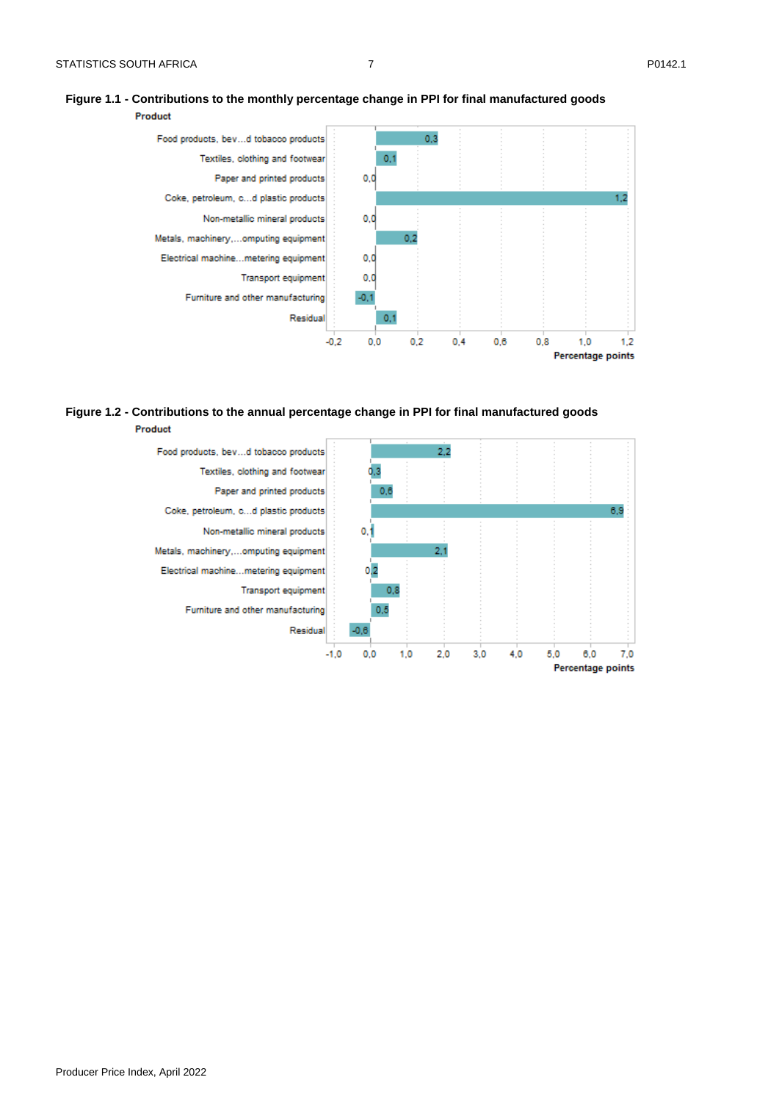#### **Figure 1.1 - Contributions to the monthly percentage change in PPI for final manufactured goods**

Product  $0,3$ Food products, bev...d tobacco products Textiles, clothing and footwear  $0,1$ Paper and printed products  $0,0$ Coke, petroleum, c...d plastic products  $1,2$ Non-metallic mineral products  $0,0$ Metals, machinery,...omputing equipment  $0.2$ Electrical machine...metering equipment  $0,0$  $0,0$ **Transport equipment** Furniture and other manufacturing  $-0,1$ Residual  $0,1$  $-0.2$  $0,0$  $0,2$  $0,4$  $0,6$  $0,8$  $1,0$  $1,2$ Percentage points

#### **Figure 1.2 - Contributions to the annual percentage change in PPI for final manufactured goods** Product

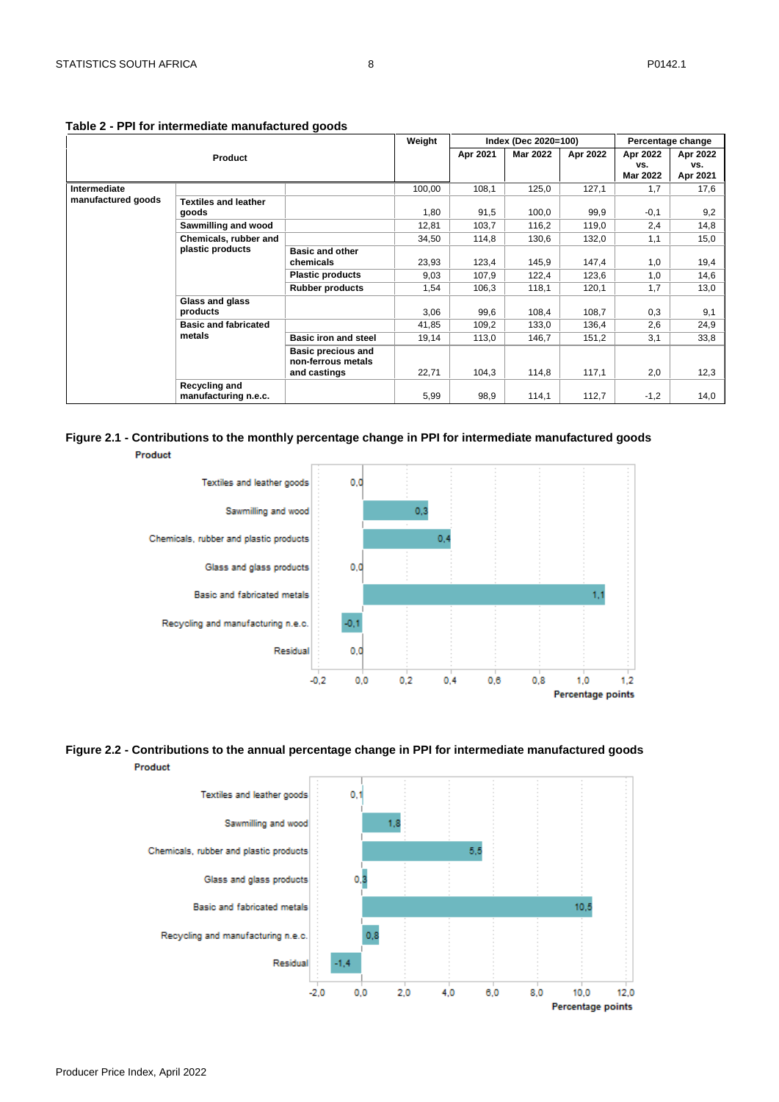|                    |                                              |                             | Weight |          | Index (Dec 2020=100) |          |                 | Percentage change |
|--------------------|----------------------------------------------|-----------------------------|--------|----------|----------------------|----------|-----------------|-------------------|
|                    | <b>Product</b>                               |                             |        | Apr 2021 | <b>Mar 2022</b>      | Apr 2022 | Apr 2022        | Apr 2022          |
|                    |                                              |                             |        |          |                      |          | VS.             | VS.               |
|                    |                                              |                             |        |          |                      |          | <b>Mar 2022</b> | Apr 2021          |
| Intermediate       |                                              |                             | 100,00 | 108,1    | 125,0                | 127,1    | 1,7             | 17,6              |
| manufactured goods | <b>Textiles and leather</b>                  |                             |        |          |                      |          |                 |                   |
|                    | goods                                        |                             | 1,80   | 91,5     | 100.0                | 99,9     | $-0,1$          | 9,2               |
|                    | Sawmilling and wood                          |                             | 12,81  | 103,7    | 116,2                | 119,0    | 2,4             | 14,8              |
|                    | Chemicals, rubber and                        |                             | 34,50  | 114,8    | 130,6                | 132,0    | 1.1             | 15,0              |
|                    | plastic products                             | <b>Basic and other</b>      |        |          |                      |          |                 |                   |
|                    |                                              | chemicals                   | 23,93  | 123,4    | 145,9                | 147,4    | 1,0             | 19,4              |
|                    |                                              | <b>Plastic products</b>     | 9,03   | 107,9    | 122,4                | 123,6    | 1,0             | 14,6              |
|                    |                                              | <b>Rubber products</b>      | 1,54   | 106,3    | 118,1                | 120,1    | 1.7             | 13,0              |
|                    | Glass and glass                              |                             |        |          |                      |          |                 |                   |
|                    | products                                     |                             | 3,06   | 99,6     | 108,4                | 108,7    | 0,3             | 9,1               |
|                    | <b>Basic and fabricated</b>                  |                             | 41,85  | 109,2    | 133,0                | 136,4    | 2,6             | 24,9              |
|                    | metals                                       | <b>Basic iron and steel</b> | 19,14  | 113,0    | 146,7                | 151,2    | 3,1             | 33,8              |
|                    |                                              | <b>Basic precious and</b>   |        |          |                      |          |                 |                   |
|                    |                                              | non-ferrous metals          |        |          |                      |          |                 |                   |
|                    |                                              | and castings                | 22,71  | 104,3    | 114,8                | 117,1    | 2,0             | 12,3              |
|                    | <b>Recycling and</b><br>manufacturing n.e.c. |                             | 5,99   | 98,9     | 114,1                | 112,7    | $-1,2$          | 14,0              |

#### **Table 2 - PPI for intermediate manufactured goods**

#### **Figure 2.1 - Contributions to the monthly percentage change in PPI for intermediate manufactured goods**  Product



#### **Figure 2.2 - Contributions to the annual percentage change in PPI for intermediate manufactured goods** Product

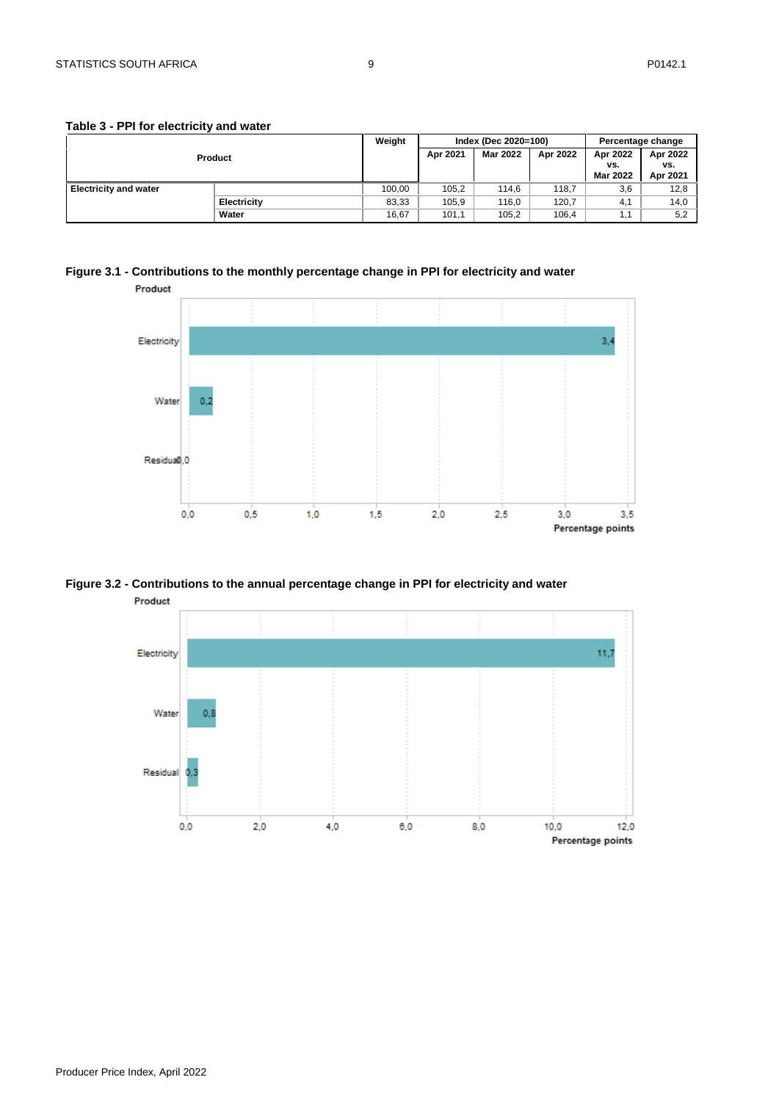|                              |                    | Weight |          | Index (Dec 2020=100) |          | Percentage change      |                 |
|------------------------------|--------------------|--------|----------|----------------------|----------|------------------------|-----------------|
|                              | Product            |        | Apr 2021 | Mar 2022             | Apr 2022 | Apr 2022               | Apr 2022        |
|                              |                    |        |          |                      |          | VS.<br><b>Mar 2022</b> | VS.<br>Apr 2021 |
|                              |                    |        |          |                      |          |                        |                 |
| <b>Electricity and water</b> |                    | 100.00 | 105.2    | 114.6                | 118.7    | 3,6                    | 12,8            |
|                              | <b>Electricity</b> | 83,33  | 105,9    | 116,0                | 120,7    | 4,1                    | 14,0            |
|                              | Water              | 16,67  | 101,1    | 105,2                | 106,4    | 1.1                    | 5,2             |

#### **Table 3 - PPI for electricity and water**





#### **Figure 3.2 - Contributions to the annual percentage change in PPI for electricity and water**

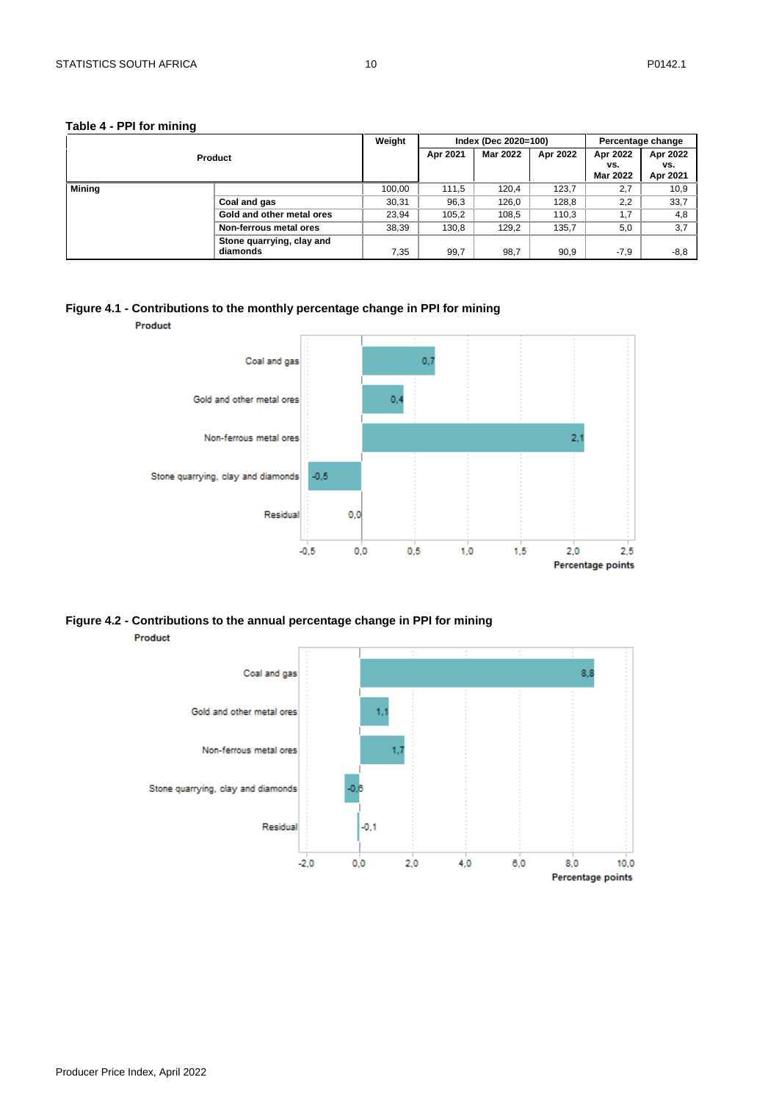#### **Table 4 - PPI for mining**

|        |                                                                                                             | Weight |          | Index (Dec 2020=100) |          |                                                                 | Percentage change           |
|--------|-------------------------------------------------------------------------------------------------------------|--------|----------|----------------------|----------|-----------------------------------------------------------------|-----------------------------|
|        |                                                                                                             |        | Apr 2021 | <b>Mar 2022</b>      | Apr 2022 | Apr 2022<br>vs.<br>Mar 2022<br>2,7<br>2,2<br>1,7<br>5,0<br>-7.9 | Apr 2022<br>VS.<br>Apr 2021 |
| Mining |                                                                                                             | 100,00 | 111.5    | 120.4                | 123.7    |                                                                 | 10,9                        |
|        | Product<br>Coal and gas<br>Gold and other metal ores<br>Non-ferrous metal ores<br>Stone quarrying, clay and | 30,31  | 96,3     | 126.0                | 128,8    |                                                                 | 33,7                        |
|        |                                                                                                             | 23,94  | 105,2    | 108.5                | 110,3    |                                                                 | 4,8                         |
|        |                                                                                                             | 38,39  | 130,8    | 129,2                | 135,7    |                                                                 | 3,7                         |
|        | diamonds                                                                                                    | 7,35   | 99,7     | 98,7                 | 90,9     |                                                                 | $-8,8$                      |

#### **Figure 4.1 - Contributions to the monthly percentage change in PPI for mining**



**Figure 4.2 - Contributions to the annual percentage change in PPI for mining** Product

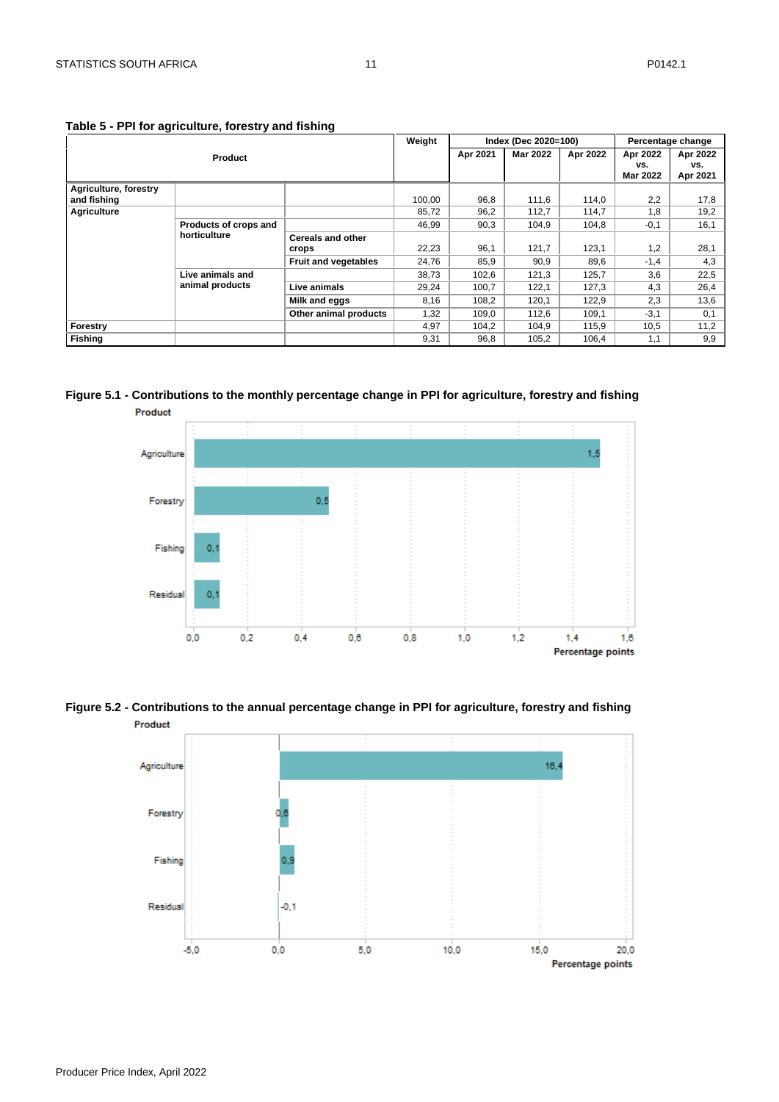|                       |                                       |                             | Weight |          | Index (Dec 2020=100) |                        |                 | Percentage change |
|-----------------------|---------------------------------------|-----------------------------|--------|----------|----------------------|------------------------|-----------------|-------------------|
| <b>Product</b>        |                                       |                             |        | Apr 2021 | <b>Mar 2022</b>      | Apr 2022               | Apr 2022        | Apr 2022          |
|                       |                                       |                             |        |          |                      | VS.<br><b>Mar 2022</b> | VS.<br>Apr 2021 |                   |
| Agriculture, forestry |                                       |                             |        |          |                      |                        |                 |                   |
| and fishing           |                                       |                             | 100,00 | 96.8     | 111,6                | 114,0                  | 2,2             | 17,8              |
| <b>Agriculture</b>    |                                       |                             | 85,72  | 96,2     | 112.7                | 114.7                  | 1,8             | 19,2              |
|                       | Products of crops and<br>horticulture |                             | 46,99  | 90,3     | 104.9                | 104,8                  | $-0,1$          | 16,1              |
|                       |                                       | <b>Cereals and other</b>    |        |          |                      |                        |                 |                   |
|                       |                                       | crops                       | 22,23  | 96,1     | 121,7                | 123,1                  | 1,2             | 28,1              |
|                       |                                       | <b>Fruit and vegetables</b> | 24,76  | 85,9     | 90,9                 | 89,6                   | $-1,4$          | 4,3               |
|                       | Live animals and<br>animal products   |                             | 38,73  | 102,6    | 121,3                | 125,7                  | 3,6             | 22,5              |
|                       |                                       | Live animals                | 29,24  | 100.7    | 122.1                | 127,3                  | 4,3             | 26,4              |
|                       |                                       | Milk and eggs               | 8,16   | 108,2    | 120,1                | 122,9                  | 2,3             | 13,6              |
|                       |                                       | Other animal products       | 1,32   | 109,0    | 112,6                | 109,1                  | $-3,1$          | 0,1               |
| Forestry              |                                       |                             | 4.97   | 104,2    | 104.9                | 115.9                  | 10,5            | 11,2              |
| <b>Fishing</b>        |                                       |                             | 9,31   | 96,8     | 105,2                | 106,4                  | 1,1             | 9,9               |

**Table 5 - PPI for agriculture, forestry and fishing**

**Figure 5.1 - Contributions to the monthly percentage change in PPI for agriculture, forestry and fishing**  Product



**Figure 5.2 - Contributions to the annual percentage change in PPI for agriculture, forestry and fishing** Product

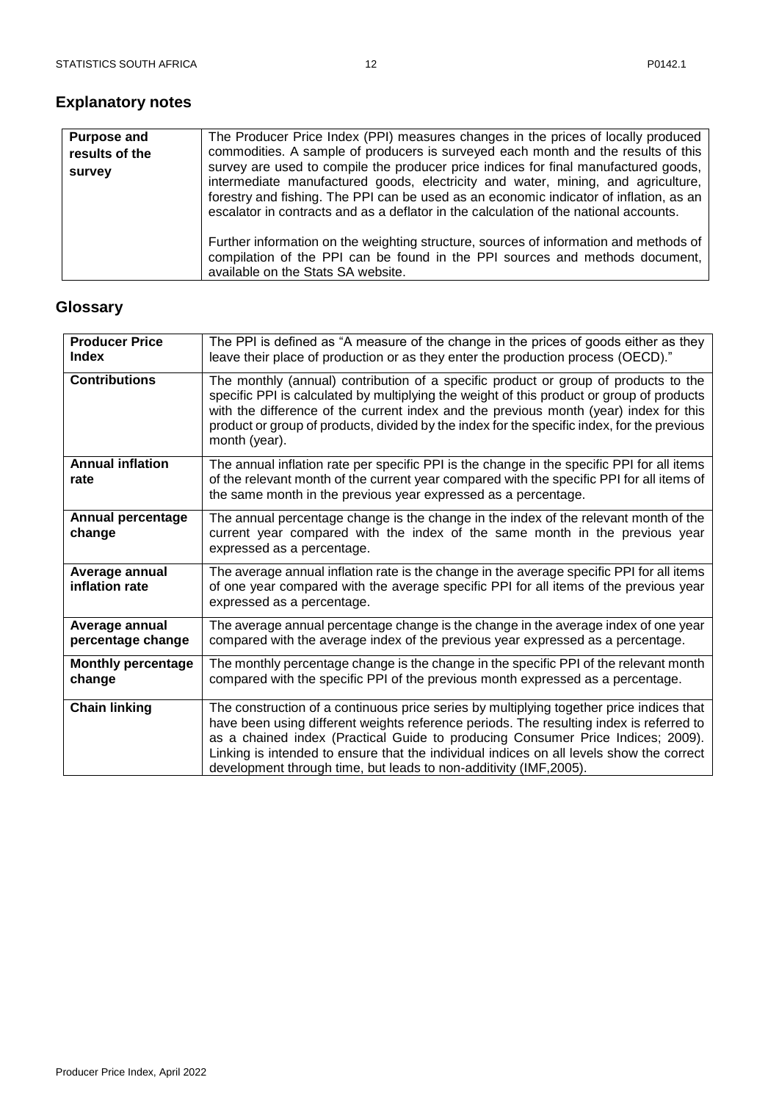### <span id="page-12-0"></span>**Explanatory notes**

| <b>Purpose and</b>       | The Producer Price Index (PPI) measures changes in the prices of locally produced                                                                                                                                                                                                                                                                                                                                                               |
|--------------------------|-------------------------------------------------------------------------------------------------------------------------------------------------------------------------------------------------------------------------------------------------------------------------------------------------------------------------------------------------------------------------------------------------------------------------------------------------|
| results of the<br>survey | commodities. A sample of producers is surveyed each month and the results of this<br>survey are used to compile the producer price indices for final manufactured goods,<br>intermediate manufactured goods, electricity and water, mining, and agriculture,<br>forestry and fishing. The PPI can be used as an economic indicator of inflation, as an<br>escalator in contracts and as a deflator in the calculation of the national accounts. |
|                          | Further information on the weighting structure, sources of information and methods of<br>compilation of the PPI can be found in the PPI sources and methods document,<br>available on the Stats SA website.                                                                                                                                                                                                                                     |

### <span id="page-12-1"></span>**Glossary**

| <b>Producer Price</b><br><b>Index</b> | The PPI is defined as "A measure of the change in the prices of goods either as they<br>leave their place of production or as they enter the production process (OECD)."                                                                                                                                                                                                                                                                 |
|---------------------------------------|------------------------------------------------------------------------------------------------------------------------------------------------------------------------------------------------------------------------------------------------------------------------------------------------------------------------------------------------------------------------------------------------------------------------------------------|
| <b>Contributions</b>                  | The monthly (annual) contribution of a specific product or group of products to the<br>specific PPI is calculated by multiplying the weight of this product or group of products<br>with the difference of the current index and the previous month (year) index for this<br>product or group of products, divided by the index for the specific index, for the previous<br>month (year).                                                |
| <b>Annual inflation</b><br>rate       | The annual inflation rate per specific PPI is the change in the specific PPI for all items<br>of the relevant month of the current year compared with the specific PPI for all items of<br>the same month in the previous year expressed as a percentage.                                                                                                                                                                                |
| <b>Annual percentage</b><br>change    | The annual percentage change is the change in the index of the relevant month of the<br>current year compared with the index of the same month in the previous year<br>expressed as a percentage.                                                                                                                                                                                                                                        |
| Average annual<br>inflation rate      | The average annual inflation rate is the change in the average specific PPI for all items<br>of one year compared with the average specific PPI for all items of the previous year<br>expressed as a percentage.                                                                                                                                                                                                                         |
| Average annual<br>percentage change   | The average annual percentage change is the change in the average index of one year<br>compared with the average index of the previous year expressed as a percentage.                                                                                                                                                                                                                                                                   |
| <b>Monthly percentage</b><br>change   | The monthly percentage change is the change in the specific PPI of the relevant month<br>compared with the specific PPI of the previous month expressed as a percentage.                                                                                                                                                                                                                                                                 |
| <b>Chain linking</b>                  | The construction of a continuous price series by multiplying together price indices that<br>have been using different weights reference periods. The resulting index is referred to<br>as a chained index (Practical Guide to producing Consumer Price Indices; 2009).<br>Linking is intended to ensure that the individual indices on all levels show the correct<br>development through time, but leads to non-additivity (IMF, 2005). |